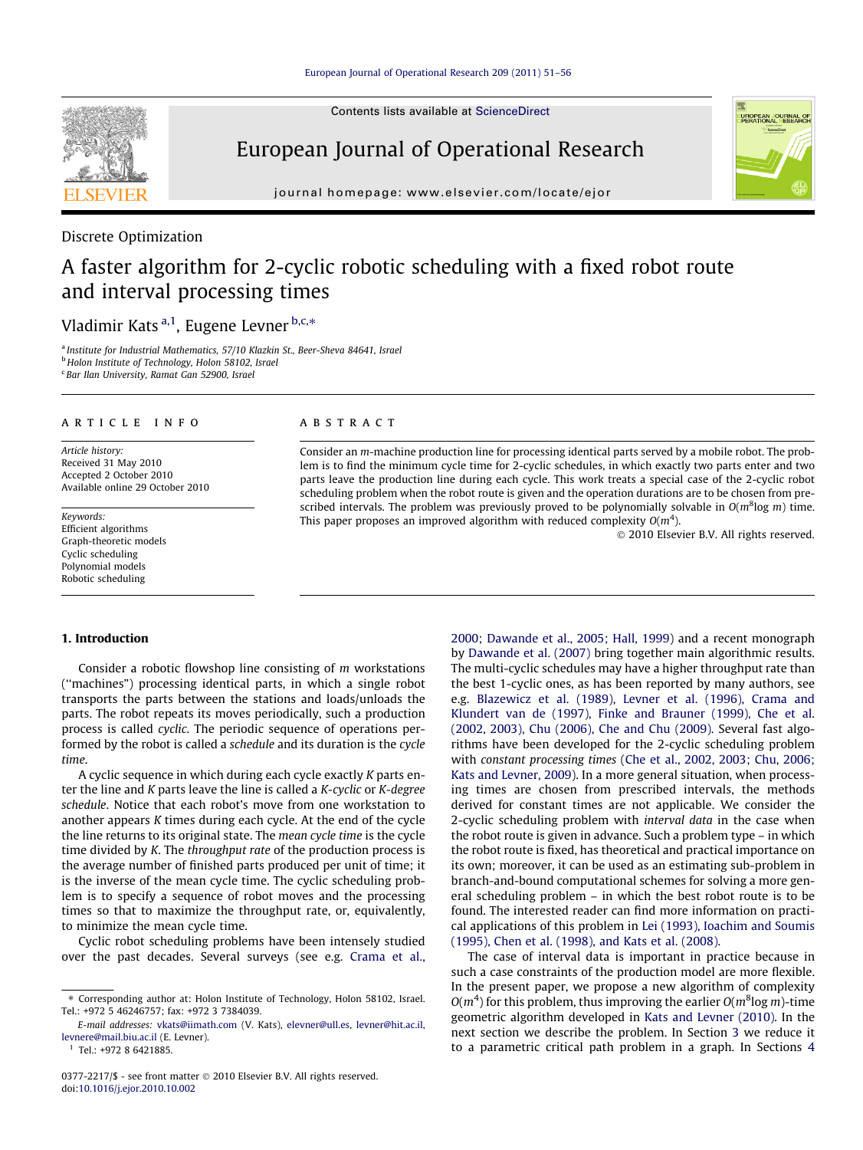

## European Journal of Operational Research

journal homepage: [www.elsevier.com/locate/ejor](http://www.elsevier.com/locate/ejor)

### Discrete Optimization

## A faster algorithm for 2-cyclic robotic scheduling with a fixed robot route and interval processing times

### Vladimir Kats<sup>a,1</sup>, Eugene Levner <sup>b,c,</sup>\*

<sup>a</sup> Institute for Industrial Mathematics, 57/10 Klazkin St., Beer-Sheva 84641, Israel <sup>b</sup> Holon Institute of Technology, Holon 58102, Israel <sup>c</sup> Bar Ilan University, Ramat Gan 52900, Israel

#### article info

Article history: Received 31 May 2010 Accepted 2 October 2010 Available online 29 October 2010

Keywords: Efficient algorithms Graph-theoretic models Cyclic scheduling Polynomial models Robotic scheduling

#### **ABSTRACT**

Consider an m-machine production line for processing identical parts served by a mobile robot. The problem is to find the minimum cycle time for 2-cyclic schedules, in which exactly two parts enter and two parts leave the production line during each cycle. This work treats a special case of the 2-cyclic robot scheduling problem when the robot route is given and the operation durations are to be chosen from prescribed intervals. The problem was previously proved to be polynomially solvable in  $O(m^8 \log m)$  time. This paper proposes an improved algorithm with reduced complexity  $O(m^4)$ .

- 2010 Elsevier B.V. All rights reserved.

UROPEAN JOURNAL

#### 1. Introduction

Consider a robotic flowshop line consisting of m workstations (''machines") processing identical parts, in which a single robot transports the parts between the stations and loads/unloads the parts. The robot repeats its moves periodically, such a production process is called cyclic. The periodic sequence of operations performed by the robot is called a schedule and its duration is the cycle time.

A cyclic sequence in which during each cycle exactly K parts enter the line and K parts leave the line is called a K-cyclic or K-degree schedule. Notice that each robot's move from one workstation to another appears K times during each cycle. At the end of the cycle the line returns to its original state. The mean cycle time is the cycle time divided by K. The throughput rate of the production process is the average number of finished parts produced per unit of time; it is the inverse of the mean cycle time. The cyclic scheduling problem is to specify a sequence of robot moves and the processing times so that to maximize the throughput rate, or, equivalently, to minimize the mean cycle time.

Cyclic robot scheduling problems have been intensely studied over the past decades. Several surveys (see e.g. [Crama et al.,](#page--1-0) [2000; Dawande et al., 2005; Hall, 1999](#page--1-0)) and a recent monograph by [Dawande et al. \(2007\)](#page--1-0) bring together main algorithmic results. The multi-cyclic schedules may have a higher throughput rate than the best 1-cyclic ones, as has been reported by many authors, see e.g. [Blazewicz et al. \(1989\), Levner et al. \(1996\), Crama and](#page--1-0) [Klundert van de \(1997\), Finke and Brauner \(1999\), Che et al.](#page--1-0) [\(2002, 2003\), Chu \(2006\), Che and Chu \(2009\)](#page--1-0). Several fast algorithms have been developed for the 2-cyclic scheduling problem with constant processing times ([Che et al., 2002, 2003; Chu, 2006;](#page--1-0) [Kats and Levner, 2009\)](#page--1-0). In a more general situation, when processing times are chosen from prescribed intervals, the methods derived for constant times are not applicable. We consider the 2-cyclic scheduling problem with interval data in the case when the robot route is given in advance. Such a problem type – in which the robot route is fixed, has theoretical and practical importance on its own; moreover, it can be used as an estimating sub-problem in branch-and-bound computational schemes for solving a more general scheduling problem – in which the best robot route is to be found. The interested reader can find more information on practical applications of this problem in [Lei \(1993\), Ioachim and Soumis](#page--1-0) [\(1995\), Chen et al. \(1998\), and Kats et al. \(2008\).](#page--1-0)

The case of interval data is important in practice because in such a case constraints of the production model are more flexible. In the present paper, we propose a new algorithm of complexity  $O(m^4)$  for this problem, thus improving the earlier  $O(m^8 \log m)$ -time geometric algorithm developed in [Kats and Levner \(2010\).](#page--1-0) In the next section we describe the problem. In Section [3](#page-1-0) we reduce it to a parametric critical path problem in a graph. In Sections [4](#page--1-0)



<sup>⇑</sup> Corresponding author at: Holon Institute of Technology, Holon 58102, Israel. Tel.: +972 5 46246757; fax: +972 3 7384039.

E-mail addresses: [vkats@iimath.com](mailto:vkats@iimath.com) (V. Kats), [elevner@ull.es](mailto:elevner@ull.es), [levner@hit.ac.il](mailto:levner@hit.ac.il), [levnere@mail.biu.ac.il](mailto:levnere@mail.biu.ac.il) (E. Levner).

<sup>&</sup>lt;sup>1</sup> Tel.: +972 8 6421885.

<sup>0377-2217/\$ -</sup> see front matter © 2010 Elsevier B.V. All rights reserved. doi[:10.1016/j.ejor.2010.10.002](http://dx.doi.org/10.1016/j.ejor.2010.10.002)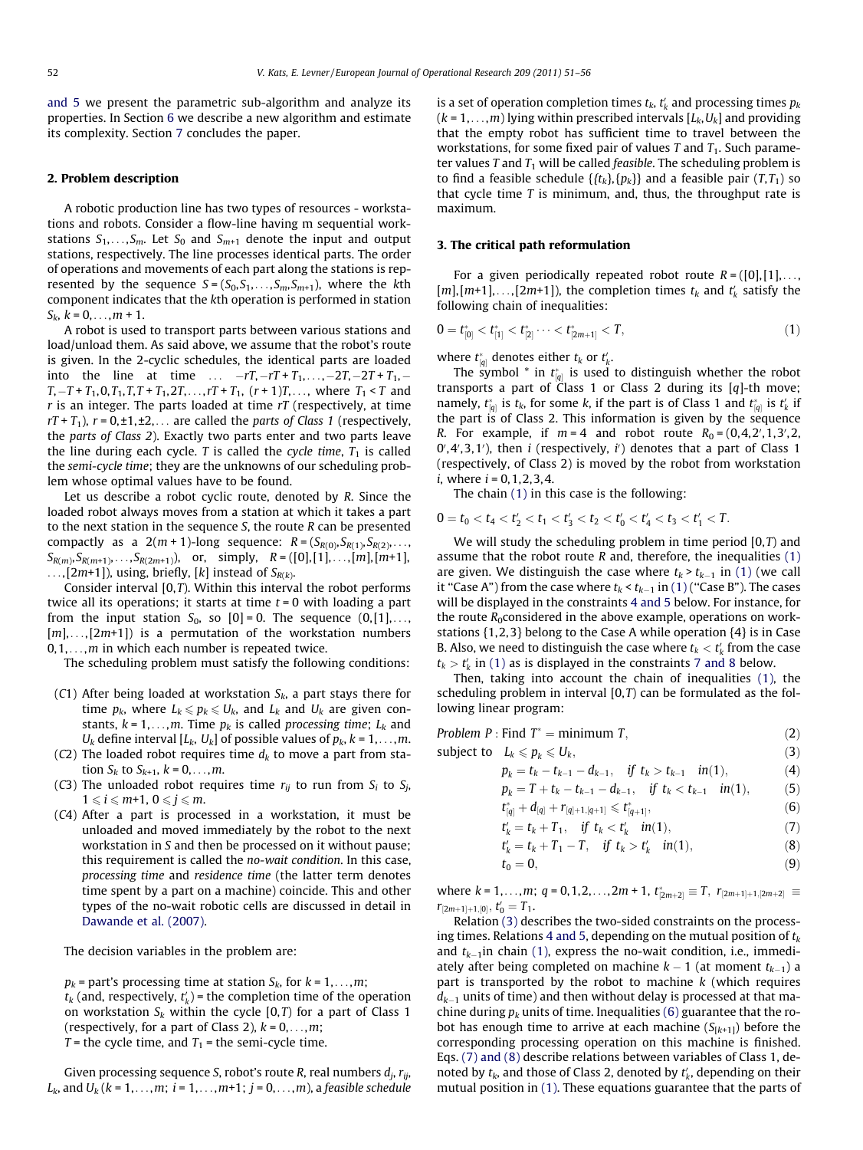<span id="page-1-0"></span>[and 5](#page--1-0) we present the parametric sub-algorithm and analyze its properties. In Section [6](#page--1-0) we describe a new algorithm and estimate its complexity. Section [7](#page--1-0) concludes the paper.

#### 2. Problem description

A robotic production line has two types of resources - workstations and robots. Consider a flow-line having m sequential workstations  $S_1, \ldots, S_m$ . Let  $S_0$  and  $S_{m+1}$  denote the input and output stations, respectively. The line processes identical parts. The order of operations and movements of each part along the stations is represented by the sequence  $S = (S_0, S_1, \ldots, S_m, S_{m+1})$ , where the kth component indicates that the kth operation is performed in station  $S_k$ ,  $k = 0, \ldots, m + 1$ .

A robot is used to transport parts between various stations and load/unload them. As said above, we assume that the robot's route is given. In the 2-cyclic schedules, the identical parts are loaded into the line at time ...  $-rT, -rT + T_1, \ldots, -2T, -2T + T_1, T, -T + T_1, 0, T_1, T, T + T_1, 2T, \ldots, rT + T_1, (r + 1)T, \ldots$ , where  $T_1 < T$  and  $r$  is an integer. The parts loaded at time  $rT$  (respectively, at time  $rT + T_1$ ),  $r = 0, \pm 1, \pm 2, \ldots$  are called the parts of Class 1 (respectively, the parts of Class 2). Exactly two parts enter and two parts leave the line during each cycle. T is called the cycle time,  $T_1$  is called the semi-cycle time; they are the unknowns of our scheduling problem whose optimal values have to be found.

Let us describe a robot cyclic route, denoted by R. Since the loaded robot always moves from a station at which it takes a part to the next station in the sequence S, the route R can be presented compactly as a  $2(m + 1)$ -long sequence:  $R = (S_{R(0)}, S_{R(1)}, S_{R(2)}, \ldots, S_{R(n)})$  $S_{R(m)}, S_{R(m+1)}, \ldots, S_{R(2m+1)}$ , or, simply,  $R = ([0], [1], \ldots, [m], [m+1],$  $\dots$ , [2m+1]), using, briefly, [k] instead of  $S_{R(k)}$ .

Consider interval [0,T). Within this interval the robot performs twice all its operations; it starts at time  $t = 0$  with loading a part from the input station  $S_0$ , so  $[0] = 0$ . The sequence  $(0, [1], \ldots,$  $[m], \ldots, [2m+1]$  is a permutation of the workstation numbers  $0,1,\ldots,m$  in which each number is repeated twice.

The scheduling problem must satisfy the following conditions:

- (C1) After being loaded at workstation  $S_k$ , a part stays there for time  $p_k$ , where  $L_k \leqslant p_k \leqslant U_k$ , and  $L_k$  and  $U_k$  are given constants,  $k = 1, \ldots, m$ . Time  $p_k$  is called processing time;  $L_k$  and  $U_k$  define interval [ $L_k$ ,  $U_k$ ] of possible values of  $p_k$ ,  $k = 1, \ldots, m$ .
- (C2) The loaded robot requires time  $d_k$  to move a part from station  $S_k$  to  $S_{k+1}$ ,  $k = 0, ..., m$ .
- (C3) The unloaded robot requires time  $r_{ii}$  to run from  $S_i$  to  $S_i$ ,  $1 \leq i \leq m+1, 0 \leq j \leq m$ .
- (C4) After a part is processed in a workstation, it must be unloaded and moved immediately by the robot to the next workstation in S and then be processed on it without pause; this requirement is called the no-wait condition. In this case, processing time and residence time (the latter term denotes time spent by a part on a machine) coincide. This and other types of the no-wait robotic cells are discussed in detail in [Dawande et al. \(2007\).](#page--1-0)

The decision variables in the problem are:

 $p_k$  = part's processing time at station  $S_k$ , for  $k = 1, \ldots, m$ ;  $t_k$  (and, respectively,  $t'_k$ ) = the completion time of the operation on workstation  $S_k$  within the cycle  $[0, T)$  for a part of Class 1 (respectively, for a part of Class 2),  $k = 0, \ldots, m$ ;  $T =$  the cycle time, and  $T_1 =$  the semi-cycle time.

Given processing sequence S, robot's route R, real numbers  $d_i$ ,  $r_{ij}$ ,  $L_k$ , and  $U_k$  ( $k = 1, ..., m$ ;  $i = 1, ..., m+1$ ;  $j = 0, ..., m$ ), a feasible schedule is a set of operation completion times  $t_k$ ,  $t'_k$  and processing times  $p_k$  $(k = 1, \ldots, m)$  lying within prescribed intervals  $[L_k, U_k]$  and providing that the empty robot has sufficient time to travel between the workstations, for some fixed pair of values T and  $T_1$ . Such parameter values T and  $T_1$  will be called *feasible*. The scheduling problem is to find a feasible schedule  $\{t_k\}, \{p_k\}\$  and a feasible pair  $(T, T_1)$  so that cycle time  $T$  is minimum, and, thus, the throughput rate is maximum.

#### 3. The critical path reformulation

For a given periodically repeated robot route  $R = ([0],[1], \ldots,$  $[m], [m+1], \ldots, [2m+1]$ , the completion times  $t_k$  and  $t'_k$  satisfy the following chain of inequalities:

$$
0 = t_{[0]}^* < t_{[1]}^* < t_{[2]}^* \cdots < t_{[2m+1]}^* < T,
$$
\n
$$
(1)
$$

where  $t_{[q]}^*$  denotes either  $t_k$  or  $t'_k$ .

The symbol  $*$  in  $t_{[q]}^*$  is used to distinguish whether the robot transports a part of  $\ddot{C}$ lass 1 or Class 2 during its [q]-th move; namely,  $t_{[q]}^*$  is  $t_k$ , for some k, if the part is of Class 1 and  $t_{[q]}^*$  is  $t'_k$  if the part is of Class 2. This information is given by the sequence R. For example, if  $m = 4$  and robot route  $R_0 = (0, 4, 2', 1, 3', 2, 1)$  $0', 4', 3, 1'$ ), then *i* (respectively, *i'*) denotes that a part of Class 1 (respectively, of Class 2) is moved by the robot from workstation  $i$ , where  $i = 0, 1, 2, 3, 4$ .

The chain (1) in this case is the following:

 $0 = t_0 < t_4 < t'_2 < t_1 < t'_3 < t_2 < t'_0 < t'_4 < t_3 < t'_1 < T$ .

We will study the scheduling problem in time period  $[0, T)$  and assume that the robot route  $R$  and, therefore, the inequalities  $(1)$ are given. We distinguish the case where  $t_k > t_{k-1}$  in (1) (we call it "Case A") from the case where  $t_k < t_{k-1}$  in (1) ("Case B"). The cases will be displayed in the constraints 4 and 5 below. For instance, for the route  $R_0$ considered in the above example, operations on workstations {1,2,3} belong to the Case A while operation {4} is in Case B. Also, we need to distinguish the case where  $t_k < t'_k$  from the case  $t_k > t'_k$  in (1) as is displayed in the constraints 7 and 8 below.

Then, taking into account the chain of inequalities (1), the scheduling problem in interval  $[0, T)$  can be formulated as the following linear program:

| Problem P : Find $T^* =$ minimum T,                             | (2) |
|-----------------------------------------------------------------|-----|
| subject to $L_k \leqslant p_k \leqslant U_k$ ,                  | (3) |
| $p_k = t_k - t_{k-1} - d_{k-1}$ , if $t_k > t_{k-1}$ in(1),     | (4) |
| $p_k = T + t_k - t_{k-1} - d_{k-1}$ , if $t_k < t_{k-1}$ in(1), | (5) |

$$
t_{[q]}^* + d_{[q]} + r_{[q]+1,[q+1]} \leq t_{[q+1]}^*,\tag{6}
$$

$$
t'_{k} = t_{k} + T_{1}, \quad \text{if } t_{k} < t'_{k} \quad \text{in}(1), \tag{7}
$$

$$
t'_{k} = t_{k} + T_{1} - T, \quad \text{if } t_{k} > t'_{k} \quad \text{in}(1),
$$
 (8)

$$
t_0 = 0,\tag{9}
$$

where  $k = 1, \ldots, m$ ;  $q = 0, 1, 2, \ldots, 2m + 1$ ,  $t_{[2m+2]}^* \equiv T$ ,  $r_{[2m+1]+1,[2m+2]} \equiv T$  $r_{[2m+1]+1,[0]}, t'_{0}=T_{1}.$ 

Relation (3) describes the two-sided constraints on the processing times. Relations 4 and 5, depending on the mutual position of  $t_k$ and  $t_{k-1}$ in chain (1), express the no-wait condition, i.e., immediately after being completed on machine  $k-1$  (at moment  $t_{k-1}$ ) a part is transported by the robot to machine  $k$  (which requires  $d_{k-1}$  units of time) and then without delay is processed at that machine during  $p_k$  units of time. Inequalities (6) guarantee that the robot has enough time to arrive at each machine  $(S_{[k+1]})$  before the corresponding processing operation on this machine is finished. Eqs. (7) and (8) describe relations between variables of Class 1, denoted by  $t_k$ , and those of Class 2, denoted by  $t'_k$ , depending on their mutual position in (1). These equations guarantee that the parts of